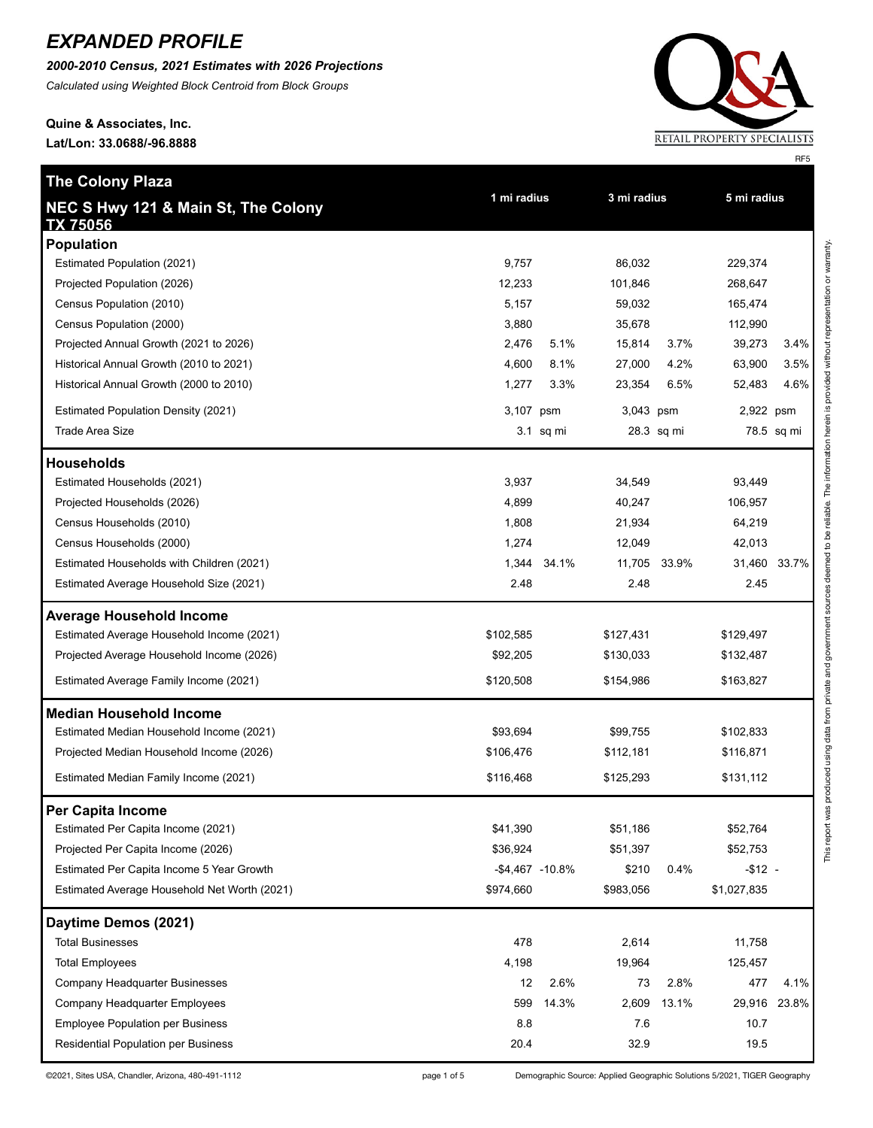*2000-2010 Census, 2021 Estimates with 2026 Projections*

*Calculated using Weighted Block Centroid from Block Groups*

# **Quine & Associates, Inc.**

**The Colony Plaza**

**Lat/Lon: 33.0688/-96.8888**



RF5

| NEC S Hwy 121 & Main St, The Colony<br><b>TX 75056</b> | 1 mi radius      |             | 3 mi radius |            | 5 mi radius |              |
|--------------------------------------------------------|------------------|-------------|-------------|------------|-------------|--------------|
| <b>Population</b>                                      |                  |             |             |            |             |              |
| Estimated Population (2021)                            | 9,757            |             | 86,032      |            | 229,374     |              |
| Projected Population (2026)                            | 12,233           |             | 101,846     |            | 268,647     |              |
| Census Population (2010)                               | 5,157            |             | 59,032      |            | 165,474     |              |
| Census Population (2000)                               | 3,880            |             | 35,678      |            | 112,990     |              |
| Projected Annual Growth (2021 to 2026)                 | 2,476            | 5.1%        | 15,814      | 3.7%       | 39,273      | 3.4%         |
| Historical Annual Growth (2010 to 2021)                | 4,600            | 8.1%        | 27,000      | 4.2%       | 63,900      | 3.5%         |
| Historical Annual Growth (2000 to 2010)                | 1,277            | 3.3%        | 23,354      | 6.5%       | 52,483      | 4.6%         |
| <b>Estimated Population Density (2021)</b>             | 3,107 psm        |             | 3,043 psm   |            | 2,922 psm   |              |
| Trade Area Size                                        |                  | $3.1$ sq mi |             | 28.3 sq mi |             | 78.5 sq mi   |
| <b>Households</b>                                      |                  |             |             |            |             |              |
| Estimated Households (2021)                            | 3,937            |             | 34,549      |            | 93,449      |              |
| Projected Households (2026)                            | 4,899            |             | 40,247      |            | 106,957     |              |
| Census Households (2010)                               | 1,808            |             | 21,934      |            | 64,219      |              |
| Census Households (2000)                               | 1,274            |             | 12,049      |            | 42,013      |              |
| Estimated Households with Children (2021)              | 1,344            | 34.1%       | 11,705      | 33.9%      |             | 31,460 33.7% |
| Estimated Average Household Size (2021)                | 2.48             |             | 2.48        |            | 2.45        |              |
| <b>Average Household Income</b>                        |                  |             |             |            |             |              |
| Estimated Average Household Income (2021)              | \$102,585        |             | \$127,431   |            | \$129,497   |              |
| Projected Average Household Income (2026)              | \$92,205         |             | \$130,033   |            | \$132,487   |              |
| Estimated Average Family Income (2021)                 | \$120,508        |             | \$154,986   |            | \$163,827   |              |
| <b>Median Household Income</b>                         |                  |             |             |            |             |              |
| Estimated Median Household Income (2021)               | \$93,694         |             | \$99,755    |            | \$102,833   |              |
| Projected Median Household Income (2026)               | \$106,476        |             | \$112,181   |            | \$116,871   |              |
| Estimated Median Family Income (2021)                  | \$116,468        |             | \$125,293   |            | \$131,112   |              |
| Per Capita Income                                      |                  |             |             |            |             |              |
| Estimated Per Capita Income (2021)                     | \$41,390         |             | \$51,186    |            | \$52,764    |              |
| Projected Per Capita Income (2026)                     | \$36,924         |             | \$51,397    |            | \$52,753    |              |
| Estimated Per Capita Income 5 Year Growth              | $-$4,467 -10.8%$ |             | \$210       | 0.4%       | $-$ \$12 -  |              |
| Estimated Average Household Net Worth (2021)           | \$974,660        |             | \$983,056   |            | \$1,027,835 |              |
| Daytime Demos (2021)                                   |                  |             |             |            |             |              |
| <b>Total Businesses</b>                                | 478              |             | 2,614       |            | 11,758      |              |
| <b>Total Employees</b>                                 | 4,198            |             | 19,964      |            | 125,457     |              |
| Company Headquarter Businesses                         | 12               | 2.6%        | 73          | 2.8%       | 477         | 4.1%         |
| Company Headquarter Employees                          | 599              | 14.3%       | 2,609       | 13.1%      | 29,916      | 23.8%        |
| <b>Employee Population per Business</b>                | 8.8              |             | 7.6         |            | 10.7        |              |
| Residential Population per Business                    | 20.4             |             | 32.9        |            | 19.5        |              |

©2021, Sites USA, Chandler, Arizona, 480-491-1112 <br>
page 1 of 5 Demographic Source: Applied Geographic Solutions 5/2021, TIGER Geography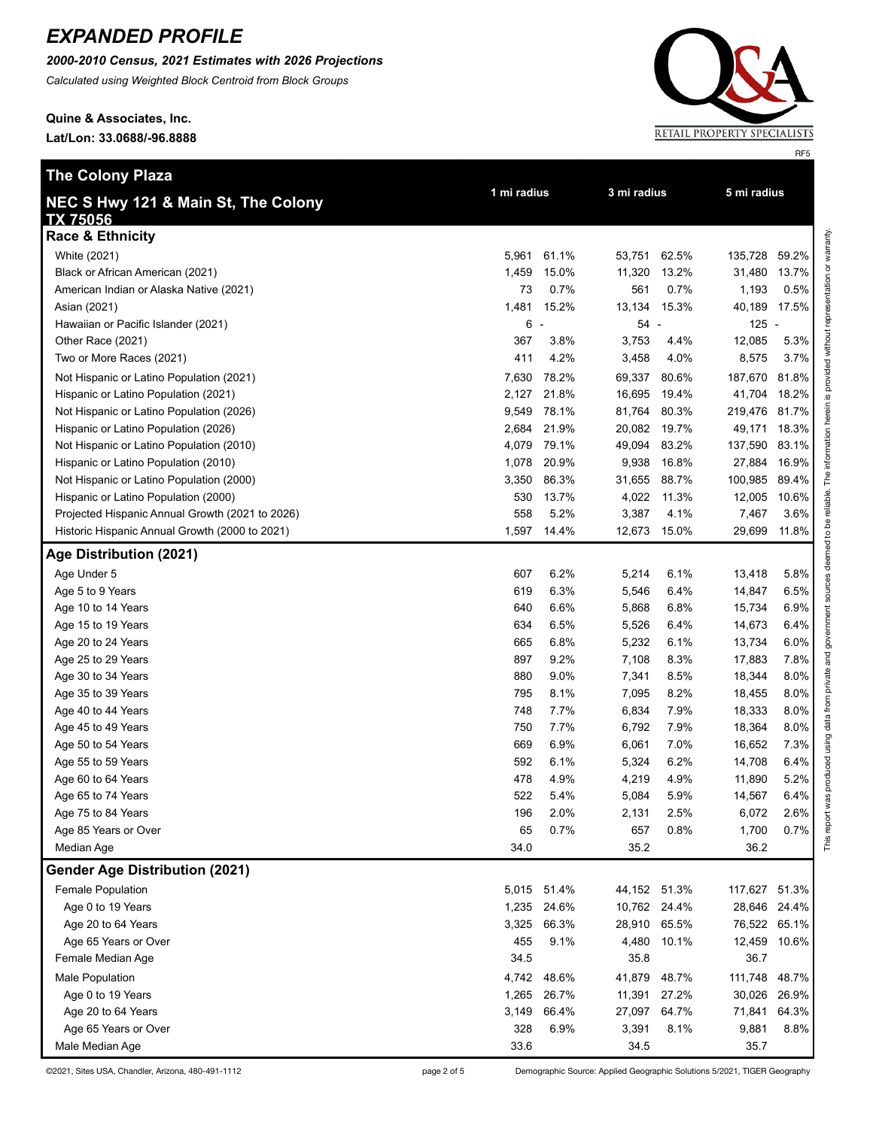*2000-2010 Census, 2021 Estimates with 2026 Projections*

*Calculated using Weighted Block Centroid from Block Groups*

**Quine & Associates, Inc. Lat/Lon: 33.0688/-96.8888**



RF5

| <b>The Colony Plaza</b>                         |             |                          |              |       |               |       |
|-------------------------------------------------|-------------|--------------------------|--------------|-------|---------------|-------|
| NEC S Hwy 121 & Main St, The Colony             | 1 mi radius |                          | 3 mi radius  |       | 5 mi radius   |       |
| <b>TX 75056</b>                                 |             |                          |              |       |               |       |
| <b>Race &amp; Ethnicity</b>                     |             |                          |              |       |               |       |
| White (2021)                                    | 5,961       | 61.1%                    | 53,751       | 62.5% | 135,728       | 59.2% |
| Black or African American (2021)                | 1,459       | 15.0%                    | 11,320       | 13.2% | 31,480 13.7%  |       |
| American Indian or Alaska Native (2021)         | 73          | 0.7%                     | 561          | 0.7%  | 1,193         | 0.5%  |
| Asian (2021)                                    | 1,481       | 15.2%                    | 13,134       | 15.3% | 40,189 17.5%  |       |
| Hawaiian or Pacific Islander (2021)             | 6           | $\overline{\phantom{a}}$ | 54 -         |       | $125 -$       |       |
| Other Race (2021)                               | 367         | 3.8%                     | 3,753        | 4.4%  | 12,085        | 5.3%  |
| Two or More Races (2021)                        | 411         | 4.2%                     | 3,458        | 4.0%  | 8,575         | 3.7%  |
| Not Hispanic or Latino Population (2021)        | 7,630       | 78.2%                    | 69,337       | 80.6% | 187,670       | 81.8% |
| Hispanic or Latino Population (2021)            | 2,127       | 21.8%                    | 16,695       | 19.4% | 41,704        | 18.2% |
| Not Hispanic or Latino Population (2026)        | 9,549       | 78.1%                    | 81,764       | 80.3% | 219,476 81.7% |       |
| Hispanic or Latino Population (2026)            | 2,684       | 21.9%                    | 20,082       | 19.7% | 49,171 18.3%  |       |
| Not Hispanic or Latino Population (2010)        | 4,079       | 79.1%                    | 49,094       | 83.2% | 137,590 83.1% |       |
| Hispanic or Latino Population (2010)            | 1,078       | 20.9%                    | 9,938        | 16.8% | 27,884        | 16.9% |
| Not Hispanic or Latino Population (2000)        | 3,350       | 86.3%                    | 31,655       | 88.7% | 100,985 89.4% |       |
| Hispanic or Latino Population (2000)            | 530         | 13.7%                    | 4,022        | 11.3% | 12,005 10.6%  |       |
| Projected Hispanic Annual Growth (2021 to 2026) | 558         | 5.2%                     | 3,387        | 4.1%  | 7,467         | 3.6%  |
| Historic Hispanic Annual Growth (2000 to 2021)  | 1,597       | 14.4%                    | 12,673       | 15.0% | 29,699 11.8%  |       |
| Age Distribution (2021)                         |             |                          |              |       |               |       |
| Age Under 5                                     | 607         | 6.2%                     | 5,214        | 6.1%  | 13,418        | 5.8%  |
| Age 5 to 9 Years                                | 619         | 6.3%                     | 5,546        | 6.4%  | 14,847        | 6.5%  |
| Age 10 to 14 Years                              | 640         | 6.6%                     | 5,868        | 6.8%  | 15,734        | 6.9%  |
| Age 15 to 19 Years                              | 634         | 6.5%                     | 5,526        | 6.4%  | 14,673        | 6.4%  |
| Age 20 to 24 Years                              | 665         | 6.8%                     | 5,232        | 6.1%  | 13,734        | 6.0%  |
| Age 25 to 29 Years                              | 897         | 9.2%                     | 7,108        | 8.3%  | 17,883        | 7.8%  |
| Age 30 to 34 Years                              | 880         | 9.0%                     | 7,341        | 8.5%  | 18,344        | 8.0%  |
| Age 35 to 39 Years                              | 795         | 8.1%                     | 7,095        | 8.2%  | 18,455        | 8.0%  |
| Age 40 to 44 Years                              | 748         | 7.7%                     | 6,834        | 7.9%  | 18,333        | 8.0%  |
| Age 45 to 49 Years                              | 750         | 7.7%                     | 6,792        | 7.9%  | 18,364        | 8.0%  |
| Age 50 to 54 Years                              | 669         | 6.9%                     | 6,061        | 7.0%  | 16,652        | 7.3%  |
| Age 55 to 59 Years                              | 592         | 6.1%                     | 5,324        | 6.2%  | 14,708        | 6.4%  |
| Age 60 to 64 Years                              | 478         | 4.9%                     | 4,219        | 4.9%  | 11,890        | 5.2%  |
| Age 65 to 74 Years                              | 522         | 5.4%                     | 5,084        | 5.9%  | 14,567        | 6.4%  |
| Age 75 to 84 Years                              | 196         | 2.0%                     | 2,131        | 2.5%  | 6,072         | 2.6%  |
| Age 85 Years or Over                            | 65          | 0.7%                     | 657          | 0.8%  | 1,700         | 0.7%  |
| Median Age                                      | 34.0        |                          | 35.2         |       | 36.2          |       |
| <b>Gender Age Distribution (2021)</b>           |             |                          |              |       |               |       |
| <b>Female Population</b>                        |             | 5,015 51.4%              | 44,152 51.3% |       | 117,627 51.3% |       |
| Age 0 to 19 Years                               | 1,235       | 24.6%                    | 10,762 24.4% |       | 28,646 24.4%  |       |
| Age 20 to 64 Years                              | 3,325       | 66.3%                    | 28,910       | 65.5% | 76,522 65.1%  |       |
| Age 65 Years or Over                            | 455         | 9.1%                     | 4,480        | 10.1% | 12,459 10.6%  |       |
| Female Median Age                               | 34.5        |                          | 35.8         |       | 36.7          |       |
| Male Population                                 | 4,742       | 48.6%                    | 41,879       | 48.7% | 111,748 48.7% |       |
| Age 0 to 19 Years                               | 1,265       | 26.7%                    | 11,391       | 27.2% | 30,026        | 26.9% |
| Age 20 to 64 Years                              | 3,149       | 66.4%                    | 27,097       | 64.7% | 71,841        | 64.3% |
| Age 65 Years or Over                            | 328         | 6.9%                     | 3,391        | 8.1%  | 9,881         | 8.8%  |
| Male Median Age                                 | 33.6        |                          | 34.5         |       | 35.7          |       |

©2021, Sites USA, Chandler, Arizona, 480-491-1112 page 2 of 5 Demographic Source: Applied Geographic Solutions 5/2021, TIGER Geography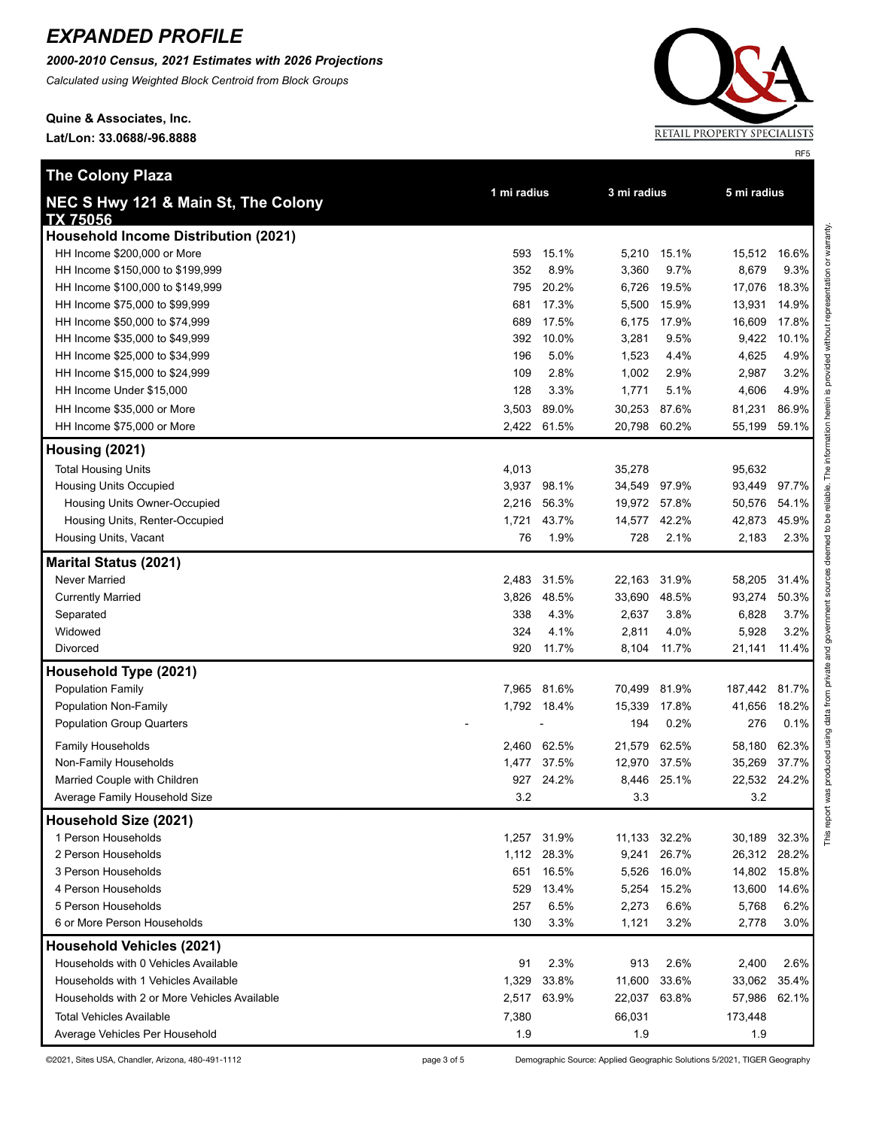*2000-2010 Census, 2021 Estimates with 2026 Projections*

*Calculated using Weighted Block Centroid from Block Groups*

**Quine & Associates, Inc. Lat/Lon: 33.0688/-96.8888**

**The Colony Plaza**



RF5

| <b>THE COLORY FIAZA</b>                                | 1 mi radius |             |              | 3 mi radius |         | 5 mi radius |  |
|--------------------------------------------------------|-------------|-------------|--------------|-------------|---------|-------------|--|
| NEC S Hwy 121 & Main St, The Colony<br><b>TX 75056</b> |             |             |              |             |         |             |  |
| <b>Household Income Distribution (2021)</b>            |             |             |              |             |         |             |  |
| HH Income \$200,000 or More                            | 593         | 15.1%       | 5,210        | 15.1%       | 15,512  | 16.6%       |  |
| HH Income \$150,000 to \$199,999                       | 352         | 8.9%        | 3,360        | 9.7%        | 8,679   | 9.3%        |  |
| HH Income \$100,000 to \$149,999                       | 795         | 20.2%       | 6,726        | 19.5%       | 17,076  | 18.3%       |  |
| HH Income \$75,000 to \$99,999                         | 681         | 17.3%       | 5,500        | 15.9%       | 13,931  | 14.9%       |  |
| HH Income \$50,000 to \$74,999                         | 689         | 17.5%       | 6,175        | 17.9%       | 16,609  | 17.8%       |  |
| HH Income \$35,000 to \$49,999                         | 392         | 10.0%       | 3,281        | 9.5%        | 9,422   | 10.1%       |  |
| HH Income \$25,000 to \$34,999                         | 196         | 5.0%        | 1,523        | 4.4%        | 4,625   | 4.9%        |  |
| HH Income \$15,000 to \$24,999                         | 109         | 2.8%        | 1,002        | 2.9%        | 2,987   | 3.2%        |  |
| HH Income Under \$15,000                               | 128         | 3.3%        | 1,771        | 5.1%        | 4,606   | 4.9%        |  |
| HH Income \$35,000 or More                             | 3,503       | 89.0%       | 30,253       | 87.6%       | 81,231  | 86.9%       |  |
| HH Income \$75,000 or More                             |             | 2,422 61.5% | 20,798 60.2% |             | 55,199  | 59.1%       |  |
| Housing (2021)                                         |             |             |              |             |         |             |  |
| <b>Total Housing Units</b>                             | 4,013       |             | 35,278       |             | 95,632  |             |  |
| <b>Housing Units Occupied</b>                          | 3,937       | 98.1%       | 34,549 97.9% |             | 93,449  | 97.7%       |  |
| Housing Units Owner-Occupied                           | 2,216       | 56.3%       | 19,972 57.8% |             | 50,576  | 54.1%       |  |
| Housing Units, Renter-Occupied                         | 1,721       | 43.7%       | 14,577 42.2% |             | 42,873  | 45.9%       |  |
| Housing Units, Vacant                                  | 76          | 1.9%        | 728          | 2.1%        | 2,183   | 2.3%        |  |
| <b>Marital Status (2021)</b>                           |             |             |              |             |         |             |  |
| <b>Never Married</b>                                   | 2,483       | 31.5%       | 22,163       | 31.9%       | 58,205  | 31.4%       |  |
| <b>Currently Married</b>                               | 3,826       | 48.5%       | 33,690       | 48.5%       | 93,274  | 50.3%       |  |
| Separated                                              | 338         | 4.3%        | 2,637        | 3.8%        | 6,828   | 3.7%        |  |
| Widowed                                                | 324         | 4.1%        | 2,811        | 4.0%        | 5,928   | 3.2%        |  |
| Divorced                                               | 920         | 11.7%       | 8,104        | 11.7%       | 21,141  | 11.4%       |  |
| Household Type (2021)                                  |             |             |              |             |         |             |  |
| <b>Population Family</b>                               | 7,965       | 81.6%       | 70,499       | 81.9%       | 187,442 | 81.7%       |  |
| Population Non-Family                                  |             | 1,792 18.4% | 15,339       | 17.8%       | 41,656  | 18.2%       |  |
| <b>Population Group Quarters</b>                       |             |             | 194          | 0.2%        | 276     | 0.1%        |  |
| <b>Family Households</b>                               |             | 2,460 62.5% | 21,579       | 62.5%       | 58,180  | 62.3%       |  |
| Non-Family Households                                  | 1,477       | 37.5%       | 12,970       | 37.5%       | 35,269  | 37.7%       |  |
| Married Couple with Children                           | 927         | 24.2%       | 8,446        | 25.1%       | 22,532  | 24.2%       |  |
| Average Family Household Size                          | 3.2         |             | 3.3          |             | 3.2     |             |  |
| Household Size (2021)                                  |             |             |              |             |         |             |  |
| 1 Person Households                                    |             | 1,257 31.9% | 11,133 32.2% |             | 30,189  | 32.3%       |  |
| 2 Person Households                                    |             | 1,112 28.3% | 9,241        | 26.7%       | 26,312  | 28.2%       |  |
| 3 Person Households                                    |             | 651 16.5%   | 5,526        | 16.0%       | 14,802  | 15.8%       |  |
| 4 Person Households                                    | 529         | 13.4%       | 5,254        | 15.2%       | 13,600  | 14.6%       |  |
| 5 Person Households                                    | 257         | 6.5%        | 2,273        | 6.6%        | 5,768   | 6.2%        |  |
| 6 or More Person Households                            | 130         | 3.3%        | 1,121        | 3.2%        | 2,778   | 3.0%        |  |
| <b>Household Vehicles (2021)</b>                       |             |             |              |             |         |             |  |
| Households with 0 Vehicles Available                   | 91          | 2.3%        | 913          | 2.6%        | 2,400   | 2.6%        |  |
| Households with 1 Vehicles Available                   | 1,329       | 33.8%       | 11,600       | 33.6%       | 33,062  | 35.4%       |  |
| Households with 2 or More Vehicles Available           |             | 2,517 63.9% | 22,037 63.8% |             | 57,986  | 62.1%       |  |
| Total Vehicles Available                               | 7,380       |             | 66,031       |             | 173,448 |             |  |
| Average Vehicles Per Household                         | 1.9         |             | 1.9          |             | 1.9     |             |  |

©2021, Sites USA, Chandler, Arizona, 480-491-1112 page 3 of 5 Demographic Source: Applied Geographic Solutions 5/2021, TIGER Geography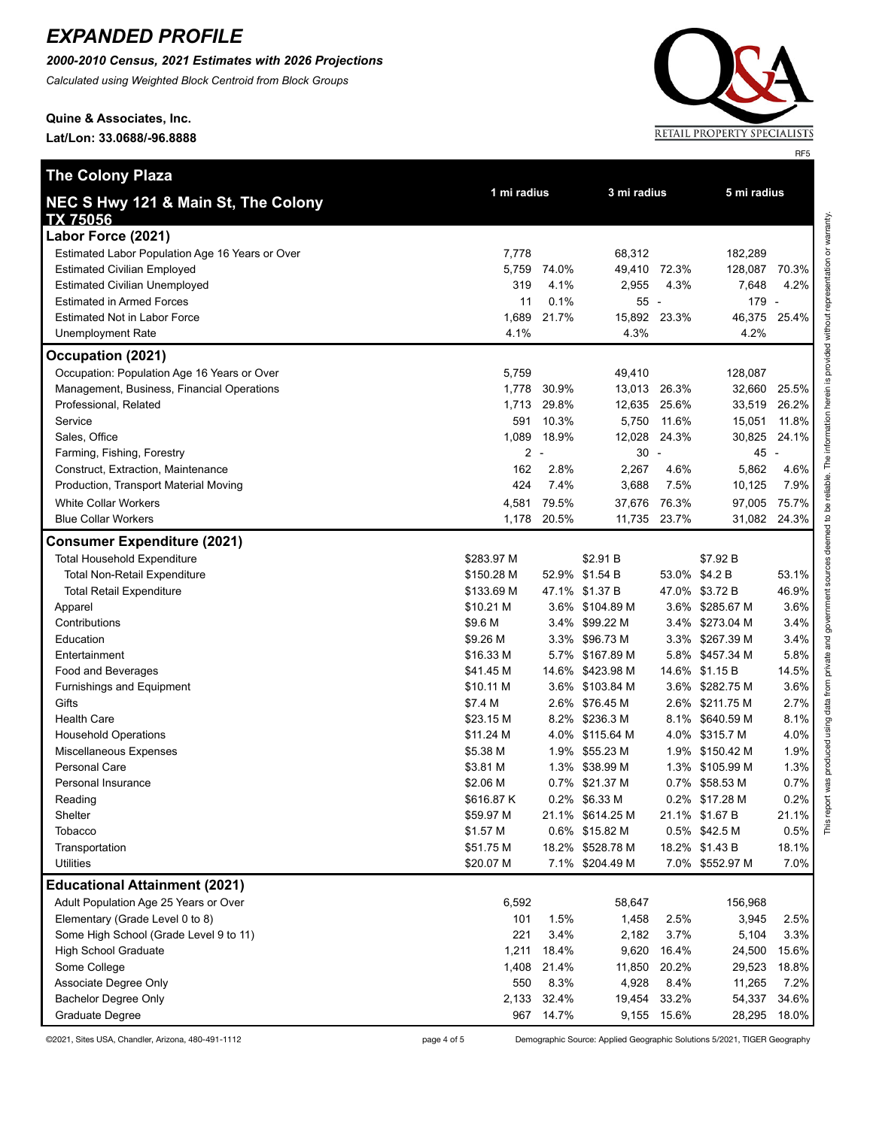*2000-2010 Census, 2021 Estimates with 2026 Projections*

*Calculated using Weighted Block Centroid from Block Groups*

**Quine & Associates, Inc.**

**Lat/Lon: 33.0688/-96.8888**

**The Colony Plaza**



**1 mi radius 3 mi radius 5 mi radius**

| i<br>ׇ֚֬֕֡<br>í          |
|--------------------------|
| j<br>ׇ֚֕֕֡֡<br>ׇ֬֓֕֓֡    |
|                          |
|                          |
|                          |
| Ī                        |
|                          |
| $\overline{\phantom{a}}$ |
|                          |
|                          |
| j                        |
|                          |
|                          |
| ׇ֚֬֡֡                    |
|                          |
| ı                        |
| $\overline{\phantom{a}}$ |
| $\overline{\phantom{a}}$ |
|                          |
|                          |
|                          |
|                          |
|                          |
|                          |
|                          |
| $\ddot{\phantom{a}}$     |
| ֖֚֚֘֝֬                   |
| ׇ֧֚֠                     |
| ľ<br>ì                   |
| j                        |
|                          |
|                          |
|                          |
|                          |
| $\frac{1}{2}$            |
| ī                        |
|                          |
| ï                        |
| Ï                        |
|                          |
|                          |
|                          |
| ξ                        |
| l                        |
| Į                        |
| į<br>F                   |
|                          |
|                          |
|                          |
| ś                        |
|                          |
|                          |
|                          |
|                          |
|                          |
|                          |
|                          |
|                          |
| š                        |
| i                        |
| í                        |
| 1<br>ī                   |
| ≌<br>E<br>i              |

| ı ını raulus<br>NEC S Hwy 121 & Main St, The Colony |                |                          | <b>JIII</b> raulus |       | <b>JIII raulus</b> |                          |
|-----------------------------------------------------|----------------|--------------------------|--------------------|-------|--------------------|--------------------------|
| TX 75056                                            |                |                          |                    |       |                    |                          |
| Labor Force (2021)                                  |                |                          |                    |       |                    |                          |
| Estimated Labor Population Age 16 Years or Over     | 7,778          |                          | 68,312             |       | 182,289            |                          |
| <b>Estimated Civilian Employed</b>                  | 5,759          | 74.0%                    | 49,410             | 72.3% | 128,087 70.3%      |                          |
| <b>Estimated Civilian Unemployed</b>                | 319            | 4.1%                     | 2,955              | 4.3%  | 7,648              | 4.2%                     |
| <b>Estimated in Armed Forces</b>                    | 11             | 0.1%                     | 55 -               |       | 179                | $\sim$                   |
| <b>Estimated Not in Labor Force</b>                 | 1,689          | 21.7%                    | 15,892             | 23.3% | 46,375             | 25.4%                    |
| <b>Unemployment Rate</b>                            | 4.1%           |                          | 4.3%               |       | 4.2%               |                          |
| Occupation (2021)                                   |                |                          |                    |       |                    |                          |
| Occupation: Population Age 16 Years or Over         | 5,759          |                          | 49,410             |       | 128,087            |                          |
| Management, Business, Financial Operations          | 1,778          | 30.9%                    | 13,013             | 26.3% | 32,660             | 25.5%                    |
| Professional, Related                               | 1,713          | 29.8%                    | 12,635             | 25.6% | 33,519             | 26.2%                    |
| Service                                             | 591            | 10.3%                    | 5,750              | 11.6% | 15,051             | 11.8%                    |
| Sales, Office                                       | 1,089          | 18.9%                    | 12,028             | 24.3% | 30,825             | 24.1%                    |
| Farming, Fishing, Forestry                          | $\overline{a}$ | $\overline{\phantom{a}}$ | $30 -$             |       | 45                 | $\overline{\phantom{a}}$ |
| Construct, Extraction, Maintenance                  | 162            | 2.8%                     | 2,267              | 4.6%  | 5,862              | 4.6%                     |
| Production, Transport Material Moving               | 424            | 7.4%                     | 3,688              | 7.5%  | 10,125             | 7.9%                     |
| <b>White Collar Workers</b>                         | 4,581          | 79.5%                    | 37,676             | 76.3% | 97,005             | 75.7%                    |
| <b>Blue Collar Workers</b>                          | 1,178          | 20.5%                    | 11,735             | 23.7% | 31,082             | 24.3%                    |
| <b>Consumer Expenditure (2021)</b>                  |                |                          |                    |       |                    |                          |
| <b>Total Household Expenditure</b>                  | \$283.97 M     |                          | \$2.91 B           |       | \$7.92 B           |                          |
| <b>Total Non-Retail Expenditure</b>                 | \$150.28 M     |                          | 52.9% \$1.54 B     |       | 53.0% \$4.2 B      | 53.1%                    |
| <b>Total Retail Expenditure</b>                     | \$133.69 M     |                          | 47.1% \$1.37 B     |       | 47.0% \$3.72 B     | 46.9%                    |
| Apparel                                             | \$10.21 M      |                          | 3.6% \$104.89 M    |       | 3.6% \$285.67 M    | 3.6%                     |
| Contributions                                       | \$9.6 M        |                          | 3.4% \$99.22 M     |       | 3.4% \$273.04 M    | 3.4%                     |
| Education                                           | \$9.26 M       |                          | 3.3% \$96.73 M     |       | 3.3% \$267.39 M    | 3.4%                     |
| Entertainment                                       | \$16.33 M      |                          | 5.7% \$167.89 M    | 5.8%  | \$457.34 M         | 5.8%                     |
| Food and Beverages                                  | \$41.45 M      |                          | 14.6% \$423.98 M   |       | 14.6% \$1.15 B     | 14.5%                    |
| Furnishings and Equipment                           | \$10.11 M      |                          | 3.6% \$103.84 M    |       | 3.6% \$282.75 M    | 3.6%                     |
| Gifts                                               | \$7.4 M        |                          | 2.6% \$76.45 M     |       | 2.6% \$211.75 M    | 2.7%                     |
| <b>Health Care</b>                                  | \$23.15 M      | 8.2%                     | \$236.3 M          |       | 8.1% \$640.59 M    | 8.1%                     |
| <b>Household Operations</b>                         | \$11.24 M      |                          | 4.0% \$115.64 M    |       | 4.0% \$315.7 M     | 4.0%                     |
| Miscellaneous Expenses                              | \$5.38 M       |                          | 1.9% \$55.23 M     |       | 1.9% \$150.42 M    | 1.9%                     |
| Personal Care                                       | \$3.81 M       |                          | 1.3% \$38.99 M     |       | 1.3% \$105.99 M    | 1.3%                     |
| Personal Insurance                                  | \$2.06 M       |                          | 0.7% \$21.37 M     |       | 0.7% \$58.53 M     | 0.7%                     |
| Reading                                             | \$616.87 K     |                          | 0.2% \$6.33 M      |       | 0.2% \$17.28 M     | 0.2%                     |
| Shelter                                             | \$59.97 M      |                          | 21.1% \$614.25 M   |       | 21.1% \$1.67 B     | 21.1%                    |
| Tobacco                                             | \$1.57 M       |                          | 0.6% \$15.82 M     |       | 0.5% \$42.5 M      | 0.5%                     |
| Transportation                                      | \$51.75 M      |                          | 18.2% \$528.78 M   |       | 18.2% \$1.43 B     | 18.1%                    |
| <b>Utilities</b>                                    | \$20.07 M      |                          | 7.1% \$204.49 M    |       | 7.0% \$552.97 M    | 7.0%                     |
| <b>Educational Attainment (2021)</b>                |                |                          |                    |       |                    |                          |
| Adult Population Age 25 Years or Over               | 6,592          |                          | 58,647             |       | 156,968            |                          |
| Elementary (Grade Level 0 to 8)                     | 101            | 1.5%                     | 1,458              | 2.5%  | 3,945              | 2.5%                     |
| Some High School (Grade Level 9 to 11)              | 221            | 3.4%                     | 2,182              | 3.7%  | 5,104              | 3.3%                     |
| <b>High School Graduate</b>                         | 1,211          | 18.4%                    | 9,620              | 16.4% | 24,500             | 15.6%                    |
| Some College                                        | 1,408          | 21.4%                    | 11,850             | 20.2% | 29,523             | 18.8%                    |
| Associate Degree Only                               | 550            | 8.3%                     | 4,928              | 8.4%  | 11,265             | 7.2%                     |
| <b>Bachelor Degree Only</b>                         | 2,133          | 32.4%                    | 19,454             | 33.2% | 54,337             | 34.6%                    |
| Graduate Degree                                     | 967            | 14.7%                    | 9,155              | 15.6% | 28,295             | 18.0%                    |

©2021, Sites USA, Chandler, Arizona, 480-491-1112 page 4 of 5 Demographic Source: Applied Geographic Solutions 5/2021, TIGER Geography